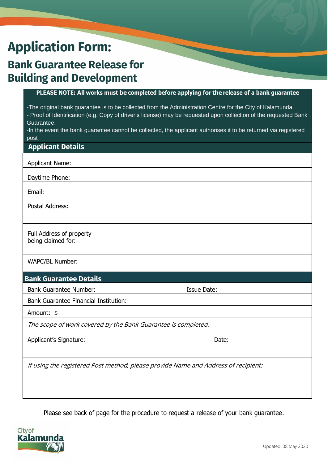## **Application Form:**

## **Bank Guarantee Release for Building and Development**

## **Activities PLEASE NOTE: All works must be completed before applying for the release of a bank guarantee**

-The original bank guarantee is to be collected from the Administration Centre for the City of Kalamunda. - Proof of Identification (e.g. Copy of driver's license) may be requested upon collection of the requested Bank Guarantee.

-In the event the bank guarantee cannot be collected, the applicant authorises it to be returned via registered post

| <b>Applicant Details</b>                                                           |                    |  |  |  |
|------------------------------------------------------------------------------------|--------------------|--|--|--|
| <b>Applicant Name:</b>                                                             |                    |  |  |  |
| Daytime Phone:                                                                     |                    |  |  |  |
| Email:                                                                             |                    |  |  |  |
| Postal Address:                                                                    |                    |  |  |  |
| Full Address of property<br>being claimed for:                                     |                    |  |  |  |
| WAPC/BL Number:                                                                    |                    |  |  |  |
| <b>Bank Guarantee Details</b>                                                      |                    |  |  |  |
| <b>Bank Guarantee Number:</b>                                                      | <b>Issue Date:</b> |  |  |  |
| <b>Bank Guarantee Financial Institution:</b>                                       |                    |  |  |  |
| Amount: \$                                                                         |                    |  |  |  |
| The scope of work covered by the Bank Guarantee is completed.                      |                    |  |  |  |
| Applicant's Signature:                                                             | Date:              |  |  |  |
| If using the registered Post method, please provide Name and Address of recipient: |                    |  |  |  |

Please see back of page for the procedure to request a release of your bank guarantee.